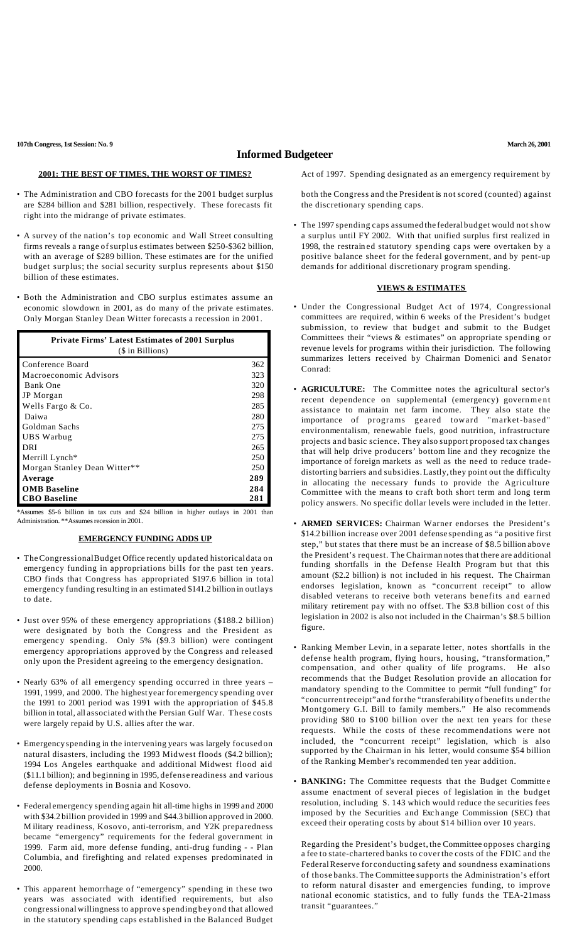**107th Congress, 1st Session: No. 9 March 26, 2001**

## **Informed Budgeteer**

## **2001: THE BEST OF TIMES, THE WORST OF TIMES?**

- The Administration and CBO forecasts for the 2001 budget surplus are \$284 billion and \$281 billion, respectively. These forecasts fit right into the midrange of private estimates.
- A survey of the nation's top economic and Wall Street consulting firms reveals a range ofsurplus estimates between \$250-\$362 billion, with an average of \$289 billion. These estimates are for the unified budget surplus; the social security surplus represents about \$150 billion of these estimates.
- Both the Administration and CBO surplus estimates assume an economic slowdown in 2001, as do many of the private estimates. Only Morgan Stanley Dean Witter forecasts a recession in 2001.

| <b>Private Firms' Latest Estimates of 2001 Surplus</b><br>(\$ in Billions) |     |
|----------------------------------------------------------------------------|-----|
| Conference Board                                                           | 362 |
| Macroeconomic Advisors                                                     | 323 |
| <b>Bank One</b>                                                            | 320 |
| JP Morgan                                                                  | 298 |
| Wells Fargo & Co.                                                          | 285 |
| Daiwa                                                                      | 280 |
| Goldman Sachs                                                              | 275 |
| UBS Warbug                                                                 | 275 |
| DRI                                                                        | 265 |
| Merrill Lynch*                                                             | 250 |
| Morgan Stanley Dean Witter**                                               | 250 |
| Average                                                                    | 289 |
| <b>OMB</b> Baseline                                                        | 284 |
| <b>CBO</b> Baseline                                                        | 281 |

\*Assumes \$5-6 billion in tax cuts and \$24 billion in higher outlays in 2001 than Administration. \*\*Assumes recession in 2001.

## **EMERGENCY FUNDING ADDS UP**

- TheCongressionalBudget Office recently updated historical data on emergency funding in appropriations bills for the past ten years. CBO finds that Congress has appropriated \$197.6 billion in total emergency funding resulting in an estimated \$141.2 billion in outlays to date.
- Just over 95% of these emergency appropriations (\$188.2 billion) were designated by both the Congress and the President as emergency spending. Only 5% (\$9.3 billion) were contingent emergency appropriations approved by the Congress and released only upon the President agreeing to the emergency designation.
- Nearly 63% of all emergency spending occurred in three years 1991, 1999, and 2000. The highestyearfor emergency spending over the 1991 to 2001 period was 1991 with the appropriation of \$45.8 billion in total, all associated with the Persian Gulf War. These costs were largely repaid by U.S. allies after the war.
- Emergencyspending in the intervening years was largely focused on natural disasters, including the 1993 Midwest floods (\$4.2 billion); 1994 Los Angeles earthquake and additional Midwest flood aid (\$11.1 billion); and beginning in 1995, defense readiness and various defense deployments in Bosnia and Kosovo.
- Federal emergency spending again hit all-time highs in 1999 and 2000 with \$34.2 billion provided in 1999 and \$44.3 billion approved in 2000. M ilitary readiness, Kosovo, anti-terrorism, and Y2K preparedness became "emergency" requirements for the federal government in 1999. Farm aid, more defense funding, anti-drug funding - - Plan Columbia, and firefighting and related expenses predominated in 2000.
- This apparent hemorrhage of "emergency" spending in these two years was associated with identified requirements, but also congressional willingness to approve spending beyond that allowed in the statutory spending caps established in the Balanced Budget

Act of 1997. Spending designated as an emergency requirement by

both the Congress and the President is not scored (counted) against the discretionary spending caps.

• The 1997 spending caps assumed the federal budget would not show a surplus until FY 2002. With that unified surplus first realized in 1998, the restrain ed statutory spending caps were overtaken by a positive balance sheet for the federal government, and by pent-up demands for additional discretionary program spending.

## **VIEWS & ESTIMATES**

- Under the Congressional Budget Act of 1974, Congressional committees are required, within 6 weeks of the President's budget submission, to review that budget and submit to the Budget Committees their "views & estimates" on appropriate spending or revenue levels for programs within their jurisdiction. The following summarizes letters received by Chairman Domenici and Senator Conrad:
- **AGRICULTURE:** The Committee notes the agricultural sector's recent dependence on supplemental (emergency) government assistance to maintain net farm income. They also state the importance of programs geared toward "market-based" environmentalism, renewable fuels, good nutrition, infrastructure projects and basic science. They also support proposed tax changes that will help drive producers' bottom line and they recognize the importance of foreign markets as well as the need to reduce tradedistorting barriers and subsidies.Lastly,they point out the difficulty in allocating the necessary funds to provide the Agriculture Committee with the means to craft both short term and long term policy answers. No specific dollar levels were included in the letter.
- **ARMED SERVICES:** Chairman Warner endorses the President's \$14.2 billion increase over 2001 defense spending as "a positive first step," but states that there must be an increase of \$8.5 billion above the President's request. The Chairman notes that there are additional funding shortfalls in the Defense Health Program but that this amount (\$2.2 billion) is not included in his request. The Chairman endorses legislation, known as "concurrent receipt" to allow disabled veterans to receive both veterans benefits and earned military retirement pay with no offset. The \$3.8 billion cost of this legislation in 2002 is also not included in the Chairman's \$8.5 billion figure.
- Ranking Member Levin, in a separate letter, notes shortfalls in the defense health program, flying hours, housing, "transformation," compensation, and other quality of life programs. He also recommends that the Budget Resolution provide an allocation for mandatory spending to the Committee to permit "full funding" for "concurrentreceipt" and forthe "transferability of benefits underthe Montgomery G.I. Bill to family members." He also recommends providing \$80 to \$100 billion over the next ten years for these requests. While the costs of these recommendations were not included, the "concurrent receipt" legislation, which is also supported by the Chairman in his letter, would consume \$54 billion of the Ranking Member's recommended ten year addition.
- **BANKING:** The Committee requests that the Budget Committe e assume enactment of several pieces of legislation in the budget resolution, including S. 143 which would reduce the securities fees imposed by the Securities and Exch ange Commission (SEC) that exceed their operating costs by about \$14 billion over 10 years.

Regarding the President's budget, the Committee opposes charging a fee to state-chartered banks to coverthe costs of the FDIC and the FederalReserve for conducting safety and soundness examinations of those banks. The Committee supports the Administration's effort to reform natural disaster and emergencies funding, to improve national economic statistics, and to fully funds the TEA-21mass transit "guarantees."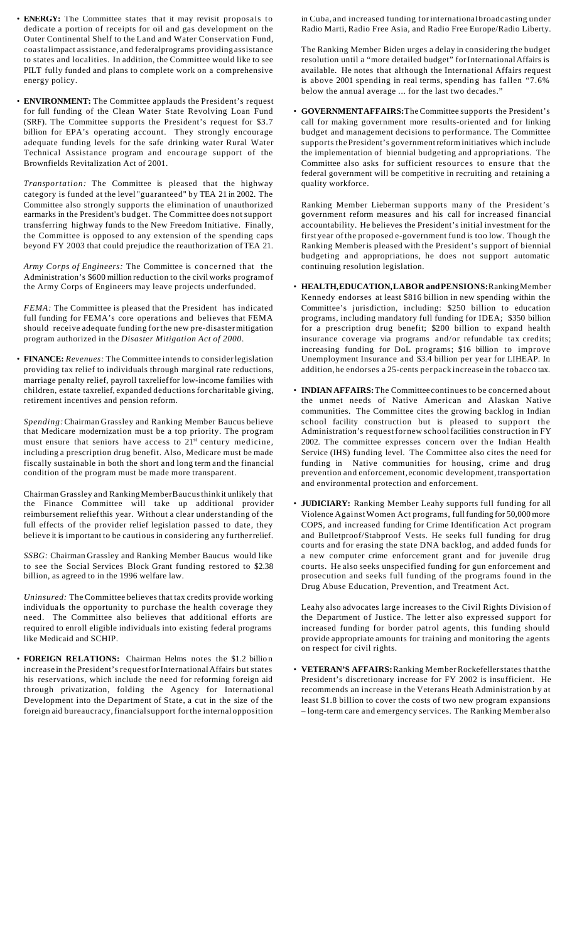- **ENERGY:** The Committee states that it may revisit proposals to dedicate a portion of receipts for oil and gas development on the Outer Continental Shelf to the Land and Water Conservation Fund, coastalimpact assistance, and federalprograms providing assistance to states and localities. In addition, the Committee would like to see PILT fully funded and plans to complete work on a comprehensive energy policy.
- **ENVIRONMENT:** The Committee applauds the President's request for full funding of the Clean Water State Revolving Loan Fund (SRF). The Committee supports the President's request for \$3.7 billion for EPA's operating account. They strongly encourage adequate funding levels for the safe drinking water Rural Water Technical Assistance program and encourage support of the Brownfields Revitalization Act of 2001.

*Transportation:* The Committee is pleased that the highway category is funded at the level "guaranteed" by TEA 21 in 2002. The Committee also strongly supports the elimination of unauthorized earmarks in the President's budget. The Committee does not support transferring highway funds to the New Freedom Initiative. Finally, the Committee is opposed to any extension of the spending caps beyond FY 2003 that could prejudice the reauthorization ofTEA 21.

*Army Corps of Engineers:* The Committee is concerned that the Administration's \$600 million reduction to the civil works programof the Army Corps of Engineers may leave projects underfunded.

*FEMA:* The Committee is pleased that the President has indicated full funding for FEMA's core operations and believes that FEMA should receive adequate funding forthe new pre-disastermitigation program authorized in the *Disaster Mitigation Act of 2000*.

• **FINANCE:** *Revenues:* The Committee intends to considerlegislation providing tax relief to individuals through marginal rate reductions, marriage penalty relief, payroll taxrelieffor low-income families with children, estate taxrelief, expanded deductions for charitable giving, retirement incentives and pension reform.

*Spending:*Chairman Grassley and Ranking Member Baucus believe that Medicare modernization must be a top priority. The program must ensure that seniors have access to  $21<sup>st</sup>$  century medicine, including a prescription drug benefit. Also, Medicare must be made fiscally sustainable in both the short and long term and the financial condition of the program must be made more transparent.

Chairman Grassley and RankingMemberBaucusthink it unlikely that the Finance Committee will take up additional provider reimbursement reliefthis year. Without a clear understanding of the full effects of the provider relief legislation passed to date, they believe it is important to be cautious in considering any furtherrelief.

*SSBG:* Chairman Grassley and Ranking Member Baucus would like to see the Social Services Block Grant funding restored to \$2.38 billion, as agreed to in the 1996 welfare law.

*Uninsured:* The Committee believes that tax credits provide working individua ls the opportunity to purchase the health coverage they need. The Committee also believes that additional efforts are required to enroll eligible individuals into existing federal programs like Medicaid and SCHIP.

• **FOREIGN RELATIONS:** Chairman Helms notes the \$1.2 billio n increase in the President's requestforInternationalAffairs but states his reservations, which include the need for reforming foreign aid through privatization, folding the Agency for International Development into the Department of State, a cut in the size of the foreign aid bureaucracy,financialsupport forthe internal opposition

in Cuba, and increased funding forinternational broadcasting under Radio Marti, Radio Free Asia, and Radio Free Europe/Radio Liberty.

The Ranking Member Biden urges a delay in considering the budget resolution until a "more detailed budget" forInternationalAffairs is available. He notes that although the International Affairs request is above 2001 spending in real terms, spending has fallen "7.6% below the annual average ... for the last two decades."

• **GOVERNMENTAFFAIRS:**TheCommittee supports the President's call for making government more results-oriented and for linking budget and management decisions to performance. The Committee supports the President's governmentreform initiatives which include the implementation of biennial budgeting and appropriations. The Committee also asks for sufficient resources to ensure that the federal government will be competitive in recruiting and retaining a quality workforce.

Ranking Member Lieberman supports many of the President's government reform measures and his call for increased financial accountability. He believes the President's initial investment for the first year ofthe proposed e-government fund is too low. Though the Ranking Memberis pleased with the President's support of biennial budgeting and appropriations, he does not support automatic continuing resolution legislation.

- **HEALTH,EDUCATION,LABOR andPENSIONS:**RankingMember Kennedy endorses at least \$816 billion in new spending within the Committee's jurisdiction, including: \$250 billion to education programs, including mandatory full funding for IDEA; \$350 billion for a prescription drug benefit; \$200 billion to expand health insurance coverage via programs and/or refundable tax credits; increasing funding for DoL programs; \$16 billion to improve Unemployment Insurance and \$3.4 billion per year for LIHEAP. In addition, he endorses a 25-cents per pack increase in the tobacco tax.
- **INDIAN AFFAIRS:**The Committeecontinues to be concerned about the unmet needs of Native American and Alaskan Native communities. The Committee cites the growing backlog in Indian school facility construction but is pleased to support the Administration's requestfor new schoolfacilities construction in FY 2002. The committee expresses concern over the Indian Health Service (IHS) funding level. The Committee also cites the need for funding in Native communities for housing, crime and drug prevention and enforcement, economic development, transportation and environmental protection and enforcement.
- **JUDICIARY:** Ranking Member Leahy supports full funding for all Violence Against Women Act programs, full funding for 50,000 more COPS, and increased funding for Crime Identification Act program and Bulletproof/Stabproof Vests. He seeks full funding for drug courts and for erasing the state DNA backlog, and added funds for a new computer crime enforcement grant and for juvenile drug courts. He also seeks unspecified funding for gun enforcement and prosecution and seeks full funding of the programs found in the Drug Abuse Education, Prevention, and Treatment Act.

Leahy also advocates large increases to the Civil Rights Division of the Department of Justice. The letter also expressed support for increased funding for border patrol agents, this funding should provide appropriate amounts for training and monitoring the agents on respect for civil rights.

• **VETERAN'S AFFAIRS:**Ranking MemberRockefellerstates that the President's discretionary increase for FY 2002 is insufficient. He recommends an increase in the Veterans Heath Administration by at least \$1.8 billion to cover the costs of two new program expansions – long-term care and emergency services. The Ranking Member also